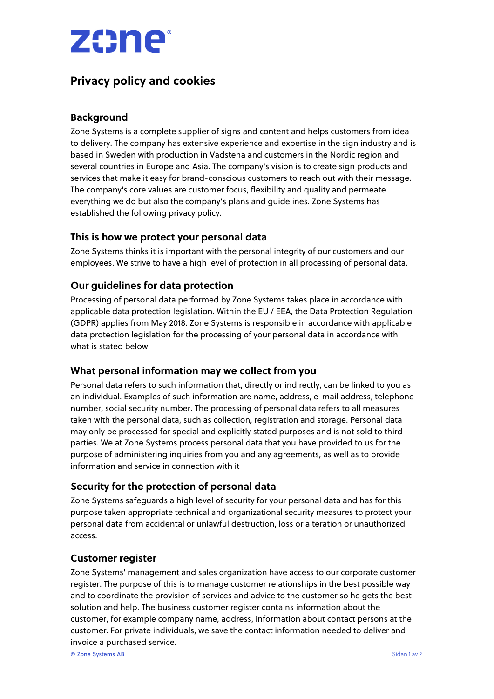

# **Privacy policy and cookies**

# **Background**

Zone Systems is a complete supplier of signs and content and helps customers from idea to delivery. The company has extensive experience and expertise in the sign industry and is based in Sweden with production in Vadstena and customers in the Nordic region and several countries in Europe and Asia. The company's vision is to create sign products and services that make it easy for brand-conscious customers to reach out with their message. The company's core values are customer focus, flexibility and quality and permeate everything we do but also the company's plans and guidelines. Zone Systems has established the following privacy policy.

# **This is how we protect your personal data**

Zone Systems thinks it is important with the personal integrity of our customers and our employees. We strive to have a high level of protection in all processing of personal data.

# **Our guidelines for data protection**

Processing of personal data performed by Zone Systems takes place in accordance with applicable data protection legislation. Within the EU / EEA, the Data Protection Regulation (GDPR) applies from May 2018. Zone Systems is responsible in accordance with applicable data protection legislation for the processing of your personal data in accordance with what is stated below.

#### **What personal information may we collect from you**

Personal data refers to such information that, directly or indirectly, can be linked to you as an individual. Examples of such information are name, address, e-mail address, telephone number, social security number. The processing of personal data refers to all measures taken with the personal data, such as collection, registration and storage. Personal data may only be processed for special and explicitly stated purposes and is not sold to third parties. We at Zone Systems process personal data that you have provided to us for the purpose of administering inquiries from you and any agreements, as well as to provide information and service in connection with it

# **Security for the protection of personal data**

Zone Systems safeguards a high level of security for your personal data and has for this purpose taken appropriate technical and organizational security measures to protect your personal data from accidental or unlawful destruction, loss or alteration or unauthorized access.

#### **Customer register**

Zone Systems' management and sales organization have access to our corporate customer register. The purpose of this is to manage customer relationships in the best possible way and to coordinate the provision of services and advice to the customer so he gets the best solution and help. The business customer register contains information about the customer, for example company name, address, information about contact persons at the customer. For private individuals, we save the contact information needed to deliver and invoice a purchased service.